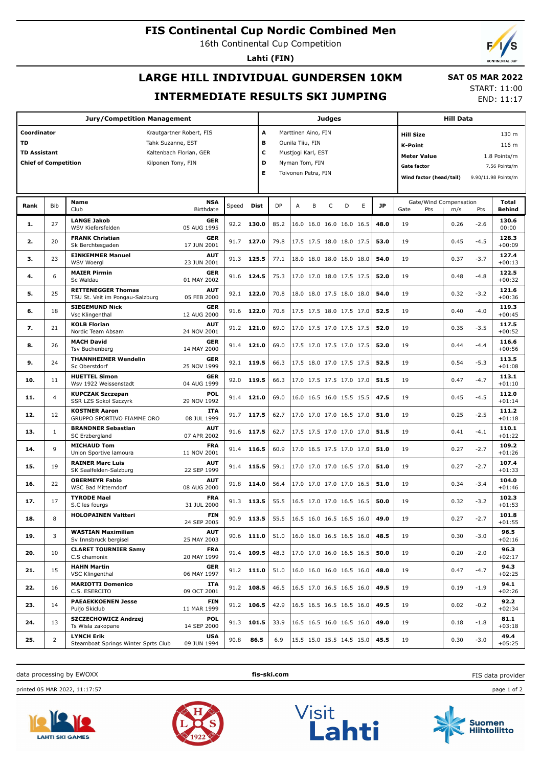## **FIS Continental Cup Nordic Combined Men**

16th Continental Cup Competition

**Lahti (FIN)**

# **LARGE HILL INDIVIDUAL GUNDERSEN 10KM INTERMEDIATE RESULTS SKI JUMPING**

 **SAT 05 MAR 2022** START: 11:00

END: 11:17

|                             |                | <b>Jury/Competition Management</b>                           |                           |       |            |           |                     |   | <b>Judges</b> |                                 |                         |           |                        |                     |        |                   |
|-----------------------------|----------------|--------------------------------------------------------------|---------------------------|-------|------------|-----------|---------------------|---|---------------|---------------------------------|-------------------------|-----------|------------------------|---------------------|--------|-------------------|
| Coordinator                 |                |                                                              | Krautgartner Robert, FIS  |       | A          |           | Marttinen Aino, FIN |   |               |                                 |                         |           | <b>Hill Size</b>       |                     |        | 130 m             |
| TD                          |                |                                                              | Tahk Suzanne, EST         |       | в          |           | Ounila Tiiu, FIN    |   |               |                                 |                         |           | <b>K-Point</b>         |                     |        | 116 m             |
| <b>TD Assistant</b>         |                |                                                              | Kaltenbach Florian, GER   |       | c          |           | Mustjogi Karl, EST  |   |               |                                 |                         |           |                        |                     |        |                   |
| <b>Chief of Competition</b> |                |                                                              | Kilponen Tony, FIN        |       | D          |           | Nyman Tom, FIN      |   |               |                                 |                         |           | <b>Meter Value</b>     |                     |        | 1.8 Points/m      |
|                             |                |                                                              |                           |       |            |           | Toivonen Petra, FIN |   |               |                                 |                         |           | <b>Gate factor</b>     |                     |        | 7.56 Points/m     |
|                             |                |                                                              | Е                         |       |            |           |                     |   |               |                                 | Wind factor (head/tail) |           |                        | 9.90/11.98 Points/m |        |                   |
|                             |                |                                                              |                           |       |            |           |                     |   |               |                                 |                         |           |                        |                     |        |                   |
| Rank                        | Bib            | Name                                                         | <b>NSA</b>                | Speed | Dist       | <b>DP</b> | А                   | B | $\mathsf C$   | D<br>E                          |                         | <b>JP</b> | Gate/Wind Compensation |                     |        | Total             |
|                             |                | Club                                                         | Birthdate                 |       |            |           |                     |   |               |                                 |                         |           | Gate<br>Pts            | m/s                 | Pts    | Behind            |
| 1.                          | 27             | <b>LANGE Jakob</b><br>WSV Kiefersfelden                      | GER<br>05 AUG 1995        | 92.2  | 130.0      | 85.2      |                     |   |               | 16.0 16.0 16.0 16.0 16.5        | 48.0                    |           | 19                     | 0.26                | $-2.6$ | 130.6<br>00:00    |
| 2.                          | 20             | <b>FRANK Christian</b><br>Sk Berchtesgaden                   | GER<br>17 JUN 2001        | 91.7  | 127.0      | 79.8      |                     |   |               | 17.5 17.5 18.0 18.0 17.5        | 53.0                    |           | 19                     | 0.45                | $-4.5$ | 128.3<br>$+00:09$ |
| з.                          | 23             | <b>EINKEMMER Manuel</b><br>WSV Woergl                        | AUT<br>23 JUN 2001        | 91.3  | 125.5      | 77.1      |                     |   |               | 18.0 18.0 18.0 18.0 18.0        | 54.0                    |           | 19                     | 0.37                | $-3.7$ | 127.4<br>$+00:13$ |
| 4.                          | 6              | <b>MAIER Pirmin</b><br>Sc Waldau                             | GER<br>01 MAY 2002        | 91.6  | 124.5      | 75.3      |                     |   |               | 17.0 17.0 18.0 17.5 17.5        | 52.0                    |           | 19                     | 0.48                | $-4.8$ | 122.5<br>$+00:32$ |
| 5.                          | 25             | <b>RETTENEGGER Thomas</b><br>TSU St. Veit im Pongau-Salzburg | <b>AUT</b><br>05 FEB 2000 |       | 92.1 122.0 | 70.8      |                     |   |               | 18.0 18.0 17.5 18.0 18.0        | 54.0                    |           | 19                     | 0.32                | $-3.2$ | 121.6<br>$+00:36$ |
| 6.                          | 18             | <b>SIEGEMUND Nick</b><br>Vsc Klingenthal                     | <b>GER</b><br>12 AUG 2000 |       | 91.6 122.0 | 70.8      |                     |   |               | 17.5 17.5 18.0 17.5 17.0        | 52.5                    |           | 19                     | 0.40                | $-4.0$ | 119.3<br>$+00:45$ |
| 7.                          | 21             | <b>KOLB Florian</b><br>Nordic Team Absam                     | <b>AUT</b><br>24 NOV 2001 |       | 91.2 121.0 | 69.0      |                     |   |               | 17.0 17.5 17.0 17.5 17.5        | 52.0                    |           | 19                     | 0.35                | $-3.5$ | 117.5<br>$+00:52$ |
| 8.                          | 26             | <b>MACH David</b><br>Tsv Buchenberg                          | <b>GER</b><br>14 MAY 2000 | 91.4  | 121.0      | 69.0      |                     |   |               | 17.5 17.0 17.5 17.0 17.5        | 52.0                    |           | 19                     | 0.44                | $-4.4$ | 116.6<br>$+00:56$ |
| 9.                          | 24             | <b>THANNHEIMER Wendelin</b><br>Sc Oberstdorf                 | GER<br>25 NOV 1999        | 92.1  | 119.5      | 66.3      |                     |   |               | 17.5 18.0 17.0 17.5 17.5        | 52.5                    |           | 19                     | 0.54                | $-5.3$ | 113.5<br>$+01:08$ |
| 10.                         | 11             | <b>HUETTEL Simon</b><br>Wsv 1922 Weissenstadt                | GER<br>04 AUG 1999        | 92.0  | 119.5      | 66.3      |                     |   |               | 17.0 17.5 17.5 17.0 17.0        | 51.5                    |           | 19                     | 0.47                | $-4.7$ | 113.1<br>$+01:10$ |
| 11.                         | 4              | <b>KUPCZAK Szczepan</b><br>SSR LZS Sokol Szczyrk             | <b>POL</b><br>29 NOV 1992 | 91.4  | 121.0      | 69.0      |                     |   |               | 16.0 16.5 16.0 15.5 15.5        | 47.5                    |           | 19                     | 0.45                | $-4.5$ | 112.0<br>$+01:14$ |
| 12.                         | 12             | <b>KOSTNER Aaron</b><br>GRUPPO SPORTIVO FIAMME ORO           | <b>ITA</b><br>08 JUL 1999 |       | 91.7 117.5 | 62.7      |                     |   |               | 17.0 17.0 17.0 16.5 17.0        | 51.0                    |           | 19                     | 0.25                | $-2.5$ | 111.2<br>$+01:18$ |
| 13.                         | 1              | <b>BRANDNER Sebastian</b><br>SC Erzbergland                  | AUT<br>07 APR 2002        | 91.6  | 117.5      | 62.7      |                     |   |               | 17.5 17.5 17.0 17.0 17.0        | 51.5                    |           | 19                     | 0.41                | $-4.1$ | 110.1<br>$+01:22$ |
| 14.                         | 9              | <b>MICHAUD Tom</b><br>Union Sportive lamoura                 | <b>FRA</b><br>11 NOV 2001 | 91.4  | 116.5      | 60.9      |                     |   |               | 17.0 16.5 17.5 17.0 17.0        | 51.0                    |           | 19                     | 0.27                | $-2.7$ | 109.2<br>$+01:26$ |
| 15.                         | 19             | <b>RAINER Marc Luis</b><br>SK Saalfelden-Salzburg            | AUT<br>22 SEP 1999        | 91.4  | 115.5      | 59.1      |                     |   |               | 17.0 17.0 17.0 16.5 17.0        | 51.0                    |           | 19                     | 0.27                | $-2.7$ | 107.4<br>$+01:33$ |
| 16.                         | 22             | <b>OBERMEYR Fabio</b><br><b>WSC Bad Mitterndorf</b>          | AUT<br>08 AUG 2000        | 91.8  | 114.0      | 56.4      |                     |   |               | 17.0 17.0 17.0 17.0 16.5        | 51.0                    |           | 19                     | 0.34                | $-3.4$ | 104.0<br>$+01:46$ |
| 17.                         | 17             | <b>TYRODE Mael</b><br>S.C les fourgs                         | <b>FRA</b><br>31 JUL 2000 |       | 91.3 113.5 | 55.5      |                     |   |               | 16.5 17.0 17.0 16.5 16.5        | 50.0                    |           | 19                     | 0.32                | $-3.2$ | 102.3<br>$+01:53$ |
| 18.                         | 8              | <b>HOLOPAINEN Valtteri</b>                                   | <b>FIN</b><br>24 SEP 2005 | 90.9  | 113.5      |           |                     |   |               | 55.5   16.5 16.0 16.5 16.5 16.0 | 49.0                    |           | 19                     | 0.27                | $-2.7$ | 101.8<br>$+01:55$ |
| 19.                         | 3              | <b>WASTIAN Maximilian</b><br>Sv Innsbruck bergisel           | <b>AUT</b><br>25 MAY 2003 |       | 90.6 111.0 | 51.0      |                     |   |               | 16.0 16.0 16.5 16.5 16.0        | 48.5                    |           | 19                     | 0.30                | $-3.0$ | 96.5<br>$+02:16$  |
| 20.                         | 10             | <b>CLARET TOURNIER Samy</b><br>C.S chamonix                  | <b>FRA</b><br>20 MAY 1999 |       | 91.4 109.5 | 48.3      |                     |   |               | 17.0 17.0 16.0 16.5 16.5        | 50.0                    |           | 19                     | 0.20                | $-2.0$ | 96.3<br>$+02:17$  |
| 21.                         | 15             | <b>HAHN Martin</b><br>VSC Klingenthal                        | GER<br>06 MAY 1997        |       | 91.2 111.0 | 51.0      |                     |   |               | 16.0 16.0 16.0 16.5 16.0        | 48.0                    |           | 19                     | 0.47                | $-4.7$ | 94.3<br>$+02:25$  |
| 22.                         | 16             | <b>MARIOTTI Domenico</b><br>C.S. ESERCITO                    | ITA<br>09 OCT 2001        |       | 91.2 108.5 | 46.5      |                     |   |               | 16.5 17.0 16.5 16.5 16.0        | 49.5                    |           | 19                     | 0.19                | $-1.9$ | 94.1<br>$+02:26$  |
| 23.                         | 14             | <b>PAEAEKKOENEN Jesse</b><br>Puijo Skiclub                   | FIN<br>11 MAR 1999        |       | 91.2 106.5 | 42.9      |                     |   |               | 16.5 16.5 16.5 16.5 16.0        | 49.5                    |           | 19                     | 0.02                | $-0.2$ | 92.2<br>$+02:34$  |
| 24.                         | 13             | SZCZECHOWICZ Andrzej<br>Ts Wisla zakopane                    | POL<br>14 SEP 2000        |       | 91.3 101.5 | 33.9      |                     |   |               | 16.5 16.5 16.0 16.5 16.0        | 49.0                    |           | 19                     | 0.18                | $-1.8$ | 81.1<br>$+03:18$  |
| 25.                         | $\overline{2}$ | <b>LYNCH Erik</b><br>Steamboat Springs Winter Sprts Club     | USA<br>09 JUN 1994        | 90.8  | 86.5       | 6.9       |                     |   |               | 15.5 15.0 15.5 14.5 15.0        | 45.5                    |           | 19                     | 0.30                | $-3.0$ | 49.4<br>$+05:25$  |

data processing by EWOXX **fis-ski.com**

printed 05 MAR 2022, 11:17:57 page 1 of 2





Visit<br>Lahti





FIS data provider